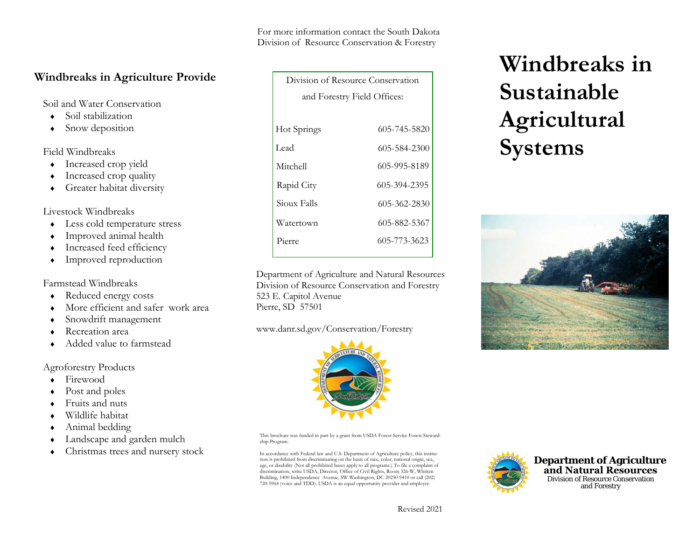For more information contact the South Dakota Division of Resource Conservation & Forestry

# **Windbreaks in Agriculture Provide**

Soil and Water Conservation

- ♦Soil stabilization
- ♦Snow deposition

# Field Windbreaks

- ♦Increased crop yield
- ♦Increased crop quality
- ♦Greater habitat diversity

# Livestock Windbreaks

- ♦ Less cold temperature stress
- ♦Improved animal health
- ♦Increased feed efficiency
- ♦Improved reproduction

# Farmstead Windbreaks

- ♦Reduced energy costs
- ♦More efficient and safer work area
- ♦Snowdrift management
- ♦Recreation area
- ♦Added value to farmstead

# Agroforestry Products

- ♦Firewood
- ♦Post and poles
- ♦Fruits and nuts
- ♦Wildlife habitat
- ♦Animal bedding
- ♦Landscape and garden mulch
- ♦Christmas trees and nursery stock

| Division of Resource Conservation |              |
|-----------------------------------|--------------|
| and Forestry Field Offices:       |              |
|                                   |              |
| Hot Springs                       | 605-745-5820 |
| Lead                              | 605-584-2300 |
| Mitchell                          | 605-995-8189 |
| Rapid City                        | 605-394-2395 |
| Sioux Falls                       | 605-362-2830 |
| Watertown                         | 605-882-5367 |
| Pierre                            | 605-773-3623 |
|                                   |              |

Department of Agriculture and Natural ResourcesDivision of Resource Conservation and Forestry 523 E. Capitol Avenue Pierre, SD 57501

# www.danr.sd.gov/Conservation/Forestry



This brochure was funded in part by a grant from USDA Forest Service Forest Stewardship Program.

In accordance with Federal law and U.S. Department of Agriculture policy, this institution is prohibited from discriminating on the basis of race, color, national origin, sex, age, or disability (Not all prohibited bases apply to all programs.) To file a complaint of discrimination, write USDA, Director, Office of Civil Rights, Room 326-W, Whitten Building, 1400 Independence Avenue, SW Washington, DC 20250-9410 or call (202) 720-5964 (voice and TDD). USDA is an equal opportunity provider and employer.

# **Windbreaks in Sustainable Agricultural Systems**